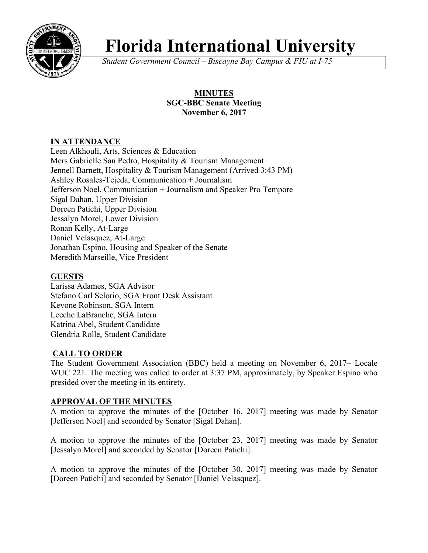

# **Florida International University**

*Student Government Council – Biscayne Bay Campus & FIU at I-75*

# **MINUTES SGC-BBC Senate Meeting November 6, 2017**

# **IN ATTENDANCE**

Leen Alkhouli, Arts, Sciences & Education Mers Gabrielle San Pedro, Hospitality & Tourism Management Jennell Barnett, Hospitality & Tourism Management (Arrived 3:43 PM) Ashley Rosales-Tejeda, Communication + Journalism Jefferson Noel, Communication + Journalism and Speaker Pro Tempore Sigal Dahan, Upper Division Doreen Patichi, Upper Division Jessalyn Morel, Lower Division Ronan Kelly, At-Large Daniel Velasquez, At-Large Jonathan Espino, Housing and Speaker of the Senate Meredith Marseille, Vice President

# **GUESTS**

Larissa Adames, SGA Advisor Stefano Carl Selorio, SGA Front Desk Assistant Kevone Robinson, SGA Intern Leeche LaBranche, SGA Intern Katrina Abel, Student Candidate Glendria Rolle, Student Candidate

# **CALL TO ORDER**

The Student Government Association (BBC) held a meeting on November 6, 2017– Locale WUC 221. The meeting was called to order at 3:37 PM, approximately, by Speaker Espino who presided over the meeting in its entirety.

# **APPROVAL OF THE MINUTES**

A motion to approve the minutes of the [October 16, 2017] meeting was made by Senator [Jefferson Noel] and seconded by Senator [Sigal Dahan].

A motion to approve the minutes of the [October 23, 2017] meeting was made by Senator [Jessalyn Morel] and seconded by Senator [Doreen Patichi].

A motion to approve the minutes of the [October 30, 2017] meeting was made by Senator [Doreen Patichi] and seconded by Senator [Daniel Velasquez].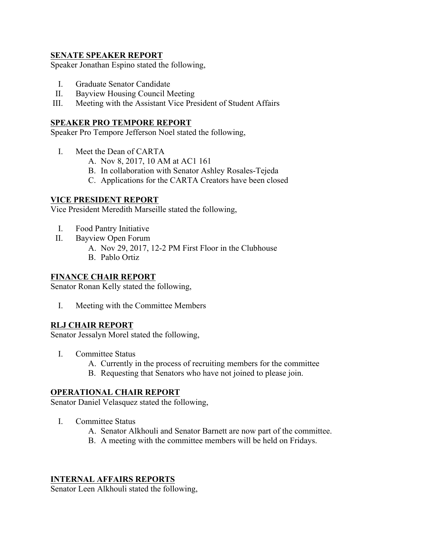#### **SENATE SPEAKER REPORT**

Speaker Jonathan Espino stated the following,

- I. Graduate Senator Candidate
- II. Bayview Housing Council Meeting
- III. Meeting with the Assistant Vice President of Student Affairs

#### **SPEAKER PRO TEMPORE REPORT**

Speaker Pro Tempore Jefferson Noel stated the following,

- I. Meet the Dean of CARTA
	- A. Nov 8, 2017, 10 AM at AC1 161
	- B. In collaboration with Senator Ashley Rosales-Tejeda
	- C. Applications for the CARTA Creators have been closed

### **VICE PRESIDENT REPORT**

Vice President Meredith Marseille stated the following,

- I. Food Pantry Initiative
- II. Bayview Open Forum
	- A. Nov 29, 2017, 12-2 PM First Floor in the Clubhouse
	- B. Pablo Ortiz

#### **FINANCE CHAIR REPORT**

Senator Ronan Kelly stated the following,

I. Meeting with the Committee Members

#### **RLJ CHAIR REPORT**

Senator Jessalyn Morel stated the following,

- I. Committee Status
	- A. Currently in the process of recruiting members for the committee
	- B. Requesting that Senators who have not joined to please join.

#### **OPERATIONAL CHAIR REPORT**

Senator Daniel Velasquez stated the following,

- I. Committee Status
	- A. Senator Alkhouli and Senator Barnett are now part of the committee.
	- B. A meeting with the committee members will be held on Fridays.

#### **INTERNAL AFFAIRS REPORTS**

Senator Leen Alkhouli stated the following,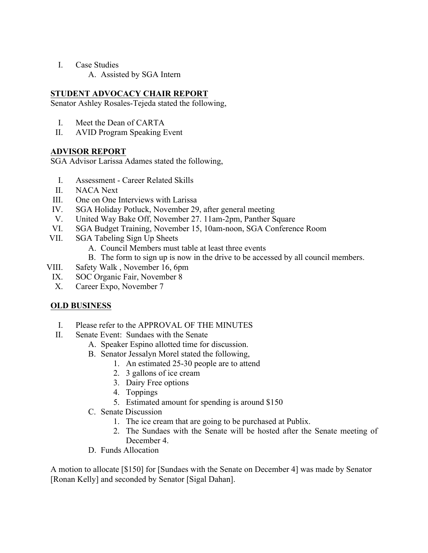- I. Case Studies
	- A. Assisted by SGA Intern

## **STUDENT ADVOCACY CHAIR REPORT**

Senator Ashley Rosales-Tejeda stated the following,

- I. Meet the Dean of CARTA
- II. AVID Program Speaking Event

## **ADVISOR REPORT**

SGA Advisor Larissa Adames stated the following,

- I. Assessment Career Related Skills
- II. NACA Next
- III. One on One Interviews with Larissa
- IV. SGA Holiday Potluck, November 29, after general meeting
- V. United Way Bake Off, November 27. 11am-2pm, Panther Square
- VI. SGA Budget Training, November 15, 10am-noon, SGA Conference Room
- VII. SGA Tabeling Sign Up Sheets
	- A. Council Members must table at least three events
	- B. The form to sign up is now in the drive to be accessed by all council members.
- VIII. Safety Walk , November 16, 6pm
	- IX. SOC Organic Fair, November 8
	- X. Career Expo, November 7

## **OLD BUSINESS**

- I. Please refer to the APPROVAL OF THE MINUTES
- II. Senate Event: Sundaes with the Senate
	- A. Speaker Espino allotted time for discussion.
	- B. Senator Jessalyn Morel stated the following,
		- 1. An estimated 25-30 people are to attend
		- 2. 3 gallons of ice cream
		- 3. Dairy Free options
		- 4. Toppings
		- 5. Estimated amount for spending is around \$150
	- C. Senate Discussion
		- 1. The ice cream that are going to be purchased at Publix.
		- 2. The Sundaes with the Senate will be hosted after the Senate meeting of December 4
	- D. Funds Allocation

A motion to allocate [\$150] for [Sundaes with the Senate on December 4] was made by Senator [Ronan Kelly] and seconded by Senator [Sigal Dahan].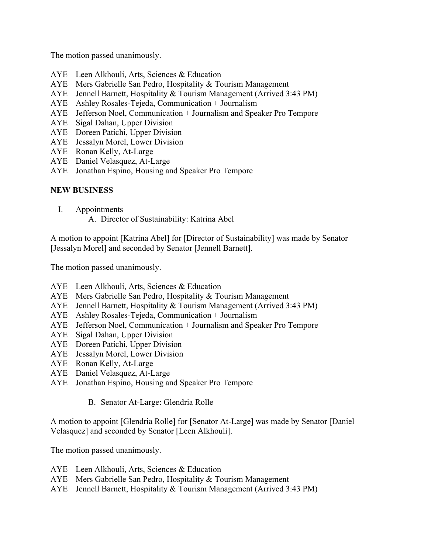The motion passed unanimously.

- AYE Leen Alkhouli, Arts, Sciences & Education
- AYE Mers Gabrielle San Pedro, Hospitality & Tourism Management
- AYE Jennell Barnett, Hospitality & Tourism Management (Arrived 3:43 PM)
- AYE Ashley Rosales-Tejeda, Communication + Journalism
- AYE Jefferson Noel, Communication + Journalism and Speaker Pro Tempore
- AYE Sigal Dahan, Upper Division
- AYE Doreen Patichi, Upper Division
- AYE Jessalyn Morel, Lower Division
- AYE Ronan Kelly, At-Large
- AYE Daniel Velasquez, At-Large
- AYE Jonathan Espino, Housing and Speaker Pro Tempore

#### **NEW BUSINESS**

- I. Appointments
	- A. Director of Sustainability: Katrina Abel

A motion to appoint [Katrina Abel] for [Director of Sustainability] was made by Senator [Jessalyn Morel] and seconded by Senator [Jennell Barnett].

The motion passed unanimously.

- AYE Leen Alkhouli, Arts, Sciences & Education
- AYE Mers Gabrielle San Pedro, Hospitality & Tourism Management
- AYE Jennell Barnett, Hospitality & Tourism Management (Arrived 3:43 PM)
- AYE Ashley Rosales-Tejeda, Communication + Journalism
- AYE Jefferson Noel, Communication + Journalism and Speaker Pro Tempore
- AYE Sigal Dahan, Upper Division
- AYE Doreen Patichi, Upper Division
- AYE Jessalyn Morel, Lower Division
- AYE Ronan Kelly, At-Large
- AYE Daniel Velasquez, At-Large
- AYE Jonathan Espino, Housing and Speaker Pro Tempore
	- B. Senator At-Large: Glendria Rolle

A motion to appoint [Glendria Rolle] for [Senator At-Large] was made by Senator [Daniel Velasquez] and seconded by Senator [Leen Alkhouli].

The motion passed unanimously.

- AYE Leen Alkhouli, Arts, Sciences & Education
- AYE Mers Gabrielle San Pedro, Hospitality & Tourism Management
- AYE Jennell Barnett, Hospitality & Tourism Management (Arrived 3:43 PM)